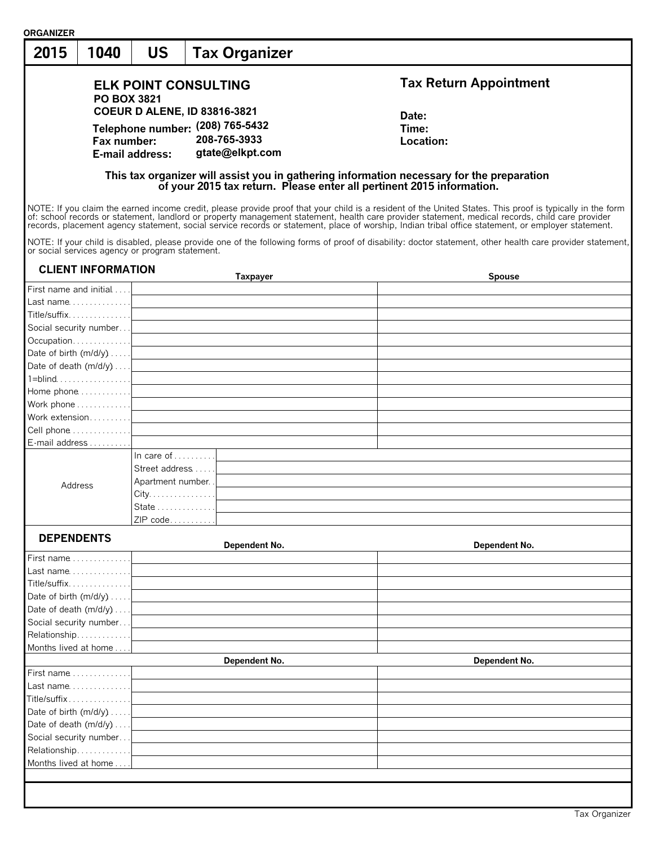| <b>ORGANIZER</b>                                |                                     |                                                                     |                                                                                                                                                                                                                                                                                                                                                                                                                                                                     |
|-------------------------------------------------|-------------------------------------|---------------------------------------------------------------------|---------------------------------------------------------------------------------------------------------------------------------------------------------------------------------------------------------------------------------------------------------------------------------------------------------------------------------------------------------------------------------------------------------------------------------------------------------------------|
| 2015<br>1040                                    | <b>US</b>                           | <b>Tax Organizer</b>                                                |                                                                                                                                                                                                                                                                                                                                                                                                                                                                     |
|                                                 |                                     | <b>ELK POINT CONSULTING</b>                                         | <b>Tax Return Appointment</b>                                                                                                                                                                                                                                                                                                                                                                                                                                       |
|                                                 | <b>PO BOX 3821</b>                  |                                                                     |                                                                                                                                                                                                                                                                                                                                                                                                                                                                     |
|                                                 |                                     | <b>COEUR D ALENE, ID 83816-3821</b>                                 | Date:                                                                                                                                                                                                                                                                                                                                                                                                                                                               |
|                                                 |                                     | Telephone number: (208) 765-5432                                    | Time:                                                                                                                                                                                                                                                                                                                                                                                                                                                               |
| Fax number:                                     |                                     | 208-765-3933                                                        | Location:                                                                                                                                                                                                                                                                                                                                                                                                                                                           |
|                                                 | E-mail address:                     | gtate@elkpt.com                                                     |                                                                                                                                                                                                                                                                                                                                                                                                                                                                     |
|                                                 |                                     |                                                                     | This tax organizer will assist you in gathering information necessary for the preparation<br>of your 2015 tax return. Please enter all pertinent 2015 information.                                                                                                                                                                                                                                                                                                  |
|                                                 |                                     |                                                                     | NOTE: If you claim the earned income credit, please provide proof that your child is a resident of the United States. This proof is typically in the form<br>of: school records or statement, landlord or property management statement, health care provider statement, medical records, child care provider<br>records, placement agency statement, social service records or statement, place of worship, Indian tribal office statement, or employer statement. |
| or social services agency or program statement. |                                     |                                                                     | NOTE: If your child is disabled, please provide one of the following forms of proof of disability: doctor statement, other health care provider statement,                                                                                                                                                                                                                                                                                                          |
| <b>CLIENT INFORMATION</b>                       |                                     | Taxpayer                                                            | <b>Spouse</b>                                                                                                                                                                                                                                                                                                                                                                                                                                                       |
|                                                 |                                     | First name and initial <u>[2004]</u>                                |                                                                                                                                                                                                                                                                                                                                                                                                                                                                     |
|                                                 |                                     | $Last name. \ldots \ldots \ldots \ldots$                            |                                                                                                                                                                                                                                                                                                                                                                                                                                                                     |
|                                                 |                                     |                                                                     |                                                                                                                                                                                                                                                                                                                                                                                                                                                                     |
|                                                 |                                     |                                                                     |                                                                                                                                                                                                                                                                                                                                                                                                                                                                     |
|                                                 |                                     |                                                                     |                                                                                                                                                                                                                                                                                                                                                                                                                                                                     |
|                                                 |                                     |                                                                     |                                                                                                                                                                                                                                                                                                                                                                                                                                                                     |
|                                                 |                                     |                                                                     |                                                                                                                                                                                                                                                                                                                                                                                                                                                                     |
|                                                 |                                     | Date of death $(m/d/y) \ldots$ .                                    |                                                                                                                                                                                                                                                                                                                                                                                                                                                                     |
|                                                 |                                     | $1 = \text{blind} \ldots \ldots \ldots \ldots \ldots \ldots \ldots$ |                                                                                                                                                                                                                                                                                                                                                                                                                                                                     |
|                                                 |                                     |                                                                     |                                                                                                                                                                                                                                                                                                                                                                                                                                                                     |
|                                                 |                                     |                                                                     |                                                                                                                                                                                                                                                                                                                                                                                                                                                                     |
|                                                 |                                     |                                                                     |                                                                                                                                                                                                                                                                                                                                                                                                                                                                     |
|                                                 |                                     |                                                                     |                                                                                                                                                                                                                                                                                                                                                                                                                                                                     |
| E-mail address                                  |                                     |                                                                     |                                                                                                                                                                                                                                                                                                                                                                                                                                                                     |
|                                                 | In care of $\dots \dots$            |                                                                     |                                                                                                                                                                                                                                                                                                                                                                                                                                                                     |
|                                                 | Street address                      |                                                                     |                                                                                                                                                                                                                                                                                                                                                                                                                                                                     |
| Address                                         | Apartment number.                   |                                                                     |                                                                                                                                                                                                                                                                                                                                                                                                                                                                     |
|                                                 | $City. \ldots \ldots \ldots \ldots$ |                                                                     |                                                                                                                                                                                                                                                                                                                                                                                                                                                                     |
|                                                 | State 1                             |                                                                     |                                                                                                                                                                                                                                                                                                                                                                                                                                                                     |
|                                                 | ZIP code                            |                                                                     |                                                                                                                                                                                                                                                                                                                                                                                                                                                                     |
|                                                 |                                     |                                                                     |                                                                                                                                                                                                                                                                                                                                                                                                                                                                     |
| <b>DEPENDENTS</b>                               |                                     | Dependent No.                                                       | Dependent No.                                                                                                                                                                                                                                                                                                                                                                                                                                                       |
| First name $\ldots \ldots \ldots \ldots$        |                                     |                                                                     |                                                                                                                                                                                                                                                                                                                                                                                                                                                                     |
| Last name                                       |                                     |                                                                     |                                                                                                                                                                                                                                                                                                                                                                                                                                                                     |
| Title/suffix                                    |                                     |                                                                     |                                                                                                                                                                                                                                                                                                                                                                                                                                                                     |
|                                                 |                                     |                                                                     |                                                                                                                                                                                                                                                                                                                                                                                                                                                                     |
| Date of birth (m/d/y)                           |                                     |                                                                     |                                                                                                                                                                                                                                                                                                                                                                                                                                                                     |
| Date of death (m/d/y)                           |                                     |                                                                     |                                                                                                                                                                                                                                                                                                                                                                                                                                                                     |
| Social security number                          |                                     |                                                                     |                                                                                                                                                                                                                                                                                                                                                                                                                                                                     |
| Relationship                                    |                                     |                                                                     |                                                                                                                                                                                                                                                                                                                                                                                                                                                                     |
| Months lived at home                            |                                     |                                                                     |                                                                                                                                                                                                                                                                                                                                                                                                                                                                     |
|                                                 |                                     | Dependent No.                                                       | Dependent No.                                                                                                                                                                                                                                                                                                                                                                                                                                                       |
| First name                                      |                                     |                                                                     |                                                                                                                                                                                                                                                                                                                                                                                                                                                                     |
| Last name                                       |                                     |                                                                     |                                                                                                                                                                                                                                                                                                                                                                                                                                                                     |
| Title/suffix                                    |                                     |                                                                     |                                                                                                                                                                                                                                                                                                                                                                                                                                                                     |
| Date of birth (m/d/y)                           |                                     |                                                                     |                                                                                                                                                                                                                                                                                                                                                                                                                                                                     |
| Date of death (m/d/y)                           |                                     |                                                                     |                                                                                                                                                                                                                                                                                                                                                                                                                                                                     |
| Social security number                          |                                     |                                                                     |                                                                                                                                                                                                                                                                                                                                                                                                                                                                     |
| Relationship                                    |                                     |                                                                     |                                                                                                                                                                                                                                                                                                                                                                                                                                                                     |
| Months lived at home                            |                                     |                                                                     |                                                                                                                                                                                                                                                                                                                                                                                                                                                                     |
|                                                 |                                     |                                                                     |                                                                                                                                                                                                                                                                                                                                                                                                                                                                     |
|                                                 |                                     |                                                                     |                                                                                                                                                                                                                                                                                                                                                                                                                                                                     |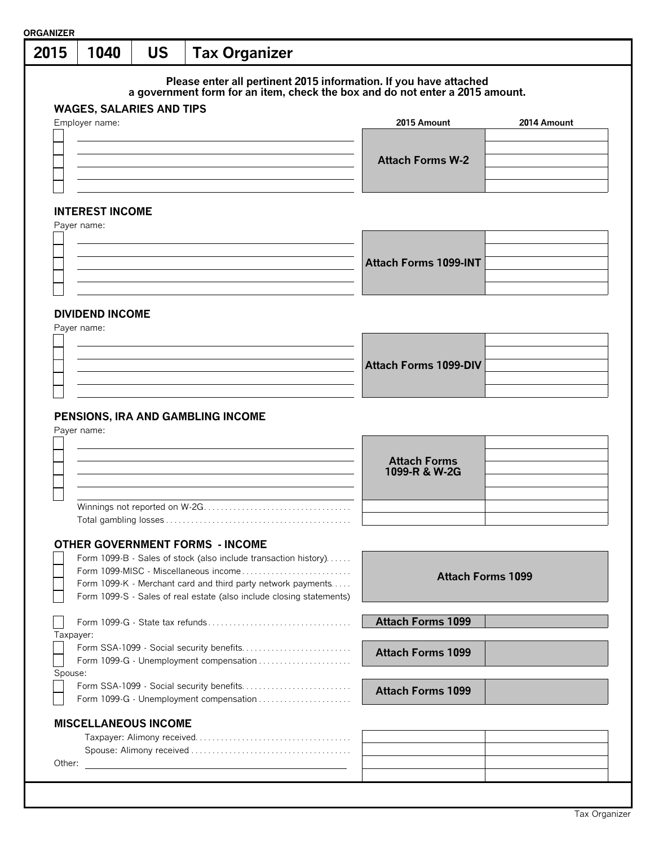| 2015    | 1040                                              | <b>US</b> | <b>Tax Organizer</b> |                                                                      |                                                                                                                                                   |                          |
|---------|---------------------------------------------------|-----------|----------------------|----------------------------------------------------------------------|---------------------------------------------------------------------------------------------------------------------------------------------------|--------------------------|
|         |                                                   |           |                      |                                                                      | Please enter all pertinent 2015 information. If you have attached<br>a government form for an item, check the box and do not enter a 2015 amount. |                          |
|         | <b>WAGES, SALARIES AND TIPS</b><br>Employer name: |           |                      |                                                                      | 2015 Amount                                                                                                                                       | 2014 Amount              |
|         |                                                   |           |                      |                                                                      |                                                                                                                                                   |                          |
|         |                                                   |           |                      |                                                                      |                                                                                                                                                   |                          |
|         |                                                   |           |                      |                                                                      | <b>Attach Forms W-2</b>                                                                                                                           |                          |
|         |                                                   |           |                      |                                                                      |                                                                                                                                                   |                          |
|         |                                                   |           |                      |                                                                      |                                                                                                                                                   |                          |
|         | <b>INTEREST INCOME</b><br>Payer name:             |           |                      |                                                                      |                                                                                                                                                   |                          |
|         |                                                   |           |                      |                                                                      |                                                                                                                                                   |                          |
|         |                                                   |           |                      |                                                                      |                                                                                                                                                   |                          |
|         |                                                   |           |                      |                                                                      | <b>Attach Forms 1099-INT</b>                                                                                                                      |                          |
|         |                                                   |           |                      |                                                                      |                                                                                                                                                   |                          |
|         |                                                   |           |                      |                                                                      |                                                                                                                                                   |                          |
|         | <b>DIVIDEND INCOME</b>                            |           |                      |                                                                      |                                                                                                                                                   |                          |
|         | Payer name:                                       |           |                      |                                                                      |                                                                                                                                                   |                          |
|         |                                                   |           |                      |                                                                      |                                                                                                                                                   |                          |
|         |                                                   |           |                      |                                                                      | <b>Attach Forms 1099-DIV</b>                                                                                                                      |                          |
|         |                                                   |           |                      |                                                                      |                                                                                                                                                   |                          |
|         |                                                   |           |                      |                                                                      |                                                                                                                                                   |                          |
|         | PENSIONS, IRA AND GAMBLING INCOME<br>Payer name:  |           |                      |                                                                      |                                                                                                                                                   |                          |
|         |                                                   |           |                      |                                                                      | <b>Attach Forms</b><br>1099-R & W-2G                                                                                                              |                          |
|         |                                                   |           |                      |                                                                      |                                                                                                                                                   |                          |
|         |                                                   |           |                      |                                                                      |                                                                                                                                                   |                          |
|         | <b>OTHER GOVERNMENT FORMS - INCOME</b>            |           |                      | Form 1099-B - Sales of stock (also include transaction history)      |                                                                                                                                                   |                          |
|         |                                                   |           |                      | Form 1099-MISC - Miscellaneous income                                |                                                                                                                                                   |                          |
|         |                                                   |           |                      | Form 1099-K - Merchant card and third party network payments         |                                                                                                                                                   | <b>Attach Forms 1099</b> |
|         |                                                   |           |                      | Form 1099-S - Sales of real estate (also include closing statements) |                                                                                                                                                   |                          |
|         |                                                   |           |                      |                                                                      | <b>Attach Forms 1099</b>                                                                                                                          |                          |
|         | Taxpayer:                                         |           |                      |                                                                      |                                                                                                                                                   |                          |
|         |                                                   |           |                      | Form SSA-1099 - Social security benefits                             |                                                                                                                                                   |                          |
|         |                                                   |           |                      | Form 1099-G - Unemployment compensation                              | <b>Attach Forms 1099</b>                                                                                                                          |                          |
| Spouse: |                                                   |           |                      |                                                                      |                                                                                                                                                   |                          |
|         |                                                   |           |                      | Form SSA-1099 - Social security benefits                             | <b>Attach Forms 1099</b>                                                                                                                          |                          |
|         |                                                   |           |                      | Form 1099-G - Unemployment compensation                              |                                                                                                                                                   |                          |
|         | <b>MISCELLANEOUS INCOME</b>                       |           |                      |                                                                      |                                                                                                                                                   |                          |
|         |                                                   |           |                      |                                                                      |                                                                                                                                                   |                          |
|         |                                                   |           |                      |                                                                      |                                                                                                                                                   |                          |
| Other:  |                                                   |           |                      |                                                                      |                                                                                                                                                   |                          |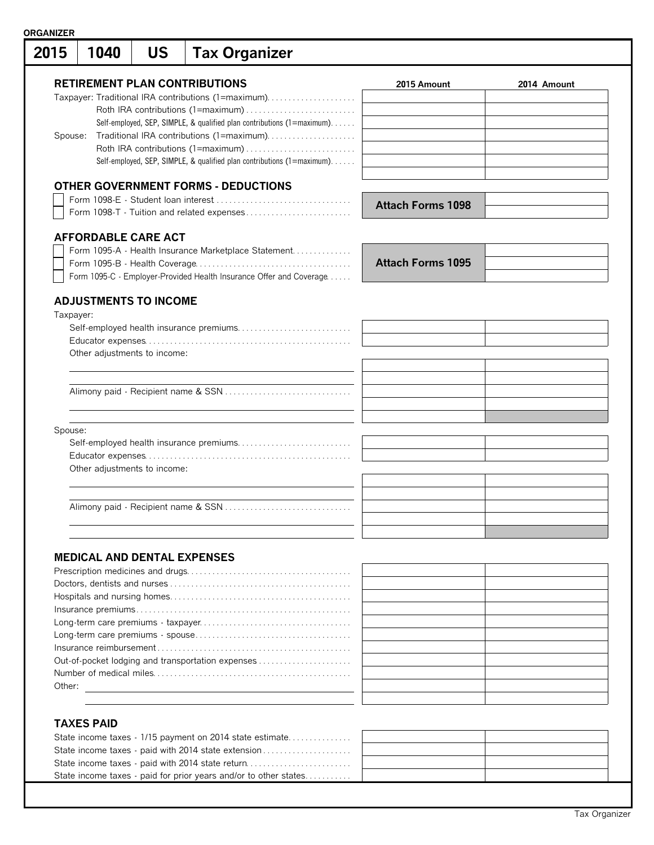| 2015      | 1040 |  | <b>US</b>                          | <b>Tax Organizer</b>                                                    |                          |             |
|-----------|------|--|------------------------------------|-------------------------------------------------------------------------|--------------------------|-------------|
|           |      |  |                                    | <b>RETIREMENT PLAN CONTRIBUTIONS</b>                                    | 2015 Amount              | 2014 Amount |
|           |      |  |                                    | Taxpayer: Traditional IRA contributions (1=maximum)                     |                          |             |
|           |      |  |                                    |                                                                         |                          |             |
|           |      |  |                                    | Self-employed, SEP, SIMPLE, & qualified plan contributions (1=maximum). |                          |             |
| Spouse:   |      |  |                                    | Traditional IRA contributions (1=maximum)                               |                          |             |
|           |      |  |                                    | Roth IRA contributions (1=maximum)                                      |                          |             |
|           |      |  |                                    | Self-employed, SEP, SIMPLE, & qualified plan contributions (1=maximum). |                          |             |
|           |      |  |                                    | <b>OTHER GOVERNMENT FORMS - DEDUCTIONS</b>                              |                          |             |
|           |      |  |                                    |                                                                         |                          |             |
|           |      |  |                                    | Form 1098-T - Tuition and related expenses                              | <b>Attach Forms 1098</b> |             |
|           |      |  | <b>AFFORDABLE CARE ACT</b>         |                                                                         |                          |             |
|           |      |  |                                    | Form 1095-A - Health Insurance Marketplace Statement                    |                          |             |
|           |      |  |                                    |                                                                         | <b>Attach Forms 1095</b> |             |
|           |      |  |                                    | Form 1095-C - Employer-Provided Health Insurance Offer and Coverage     |                          |             |
|           |      |  | <b>ADJUSTMENTS TO INCOME</b>       |                                                                         |                          |             |
| Taxpayer: |      |  |                                    |                                                                         |                          |             |
|           |      |  |                                    |                                                                         |                          |             |
|           |      |  |                                    |                                                                         |                          |             |
|           |      |  | Other adjustments to income:       |                                                                         |                          |             |
|           |      |  |                                    |                                                                         |                          |             |
|           |      |  |                                    |                                                                         |                          |             |
|           |      |  |                                    |                                                                         |                          |             |
|           |      |  |                                    |                                                                         |                          |             |
| Spouse:   |      |  |                                    |                                                                         |                          |             |
|           |      |  |                                    |                                                                         |                          |             |
|           |      |  |                                    |                                                                         |                          |             |
|           |      |  | Other adjustments to income:       |                                                                         |                          |             |
|           |      |  |                                    |                                                                         |                          |             |
|           |      |  |                                    |                                                                         |                          |             |
|           |      |  |                                    |                                                                         |                          |             |
|           |      |  |                                    |                                                                         |                          |             |
|           |      |  |                                    |                                                                         |                          |             |
|           |      |  | <b>MEDICAL AND DENTAL EXPENSES</b> |                                                                         |                          |             |
|           |      |  |                                    |                                                                         |                          |             |
|           |      |  |                                    |                                                                         |                          |             |
|           |      |  |                                    |                                                                         |                          |             |
|           |      |  |                                    |                                                                         |                          |             |
|           |      |  |                                    |                                                                         |                          |             |
|           |      |  |                                    |                                                                         |                          |             |
|           |      |  |                                    |                                                                         |                          |             |
|           |      |  |                                    |                                                                         |                          |             |
|           |      |  |                                    | Out-of-pocket lodging and transportation expenses                       |                          |             |
|           |      |  |                                    |                                                                         |                          |             |
|           |      |  |                                    |                                                                         |                          |             |
|           |      |  |                                    |                                                                         |                          |             |

| $INU$ $N$                                                        |  |
|------------------------------------------------------------------|--|
| State income taxes - 1/15 payment on 2014 state estimate         |  |
| State income taxes - paid with 2014 state extension              |  |
| State income taxes - paid with 2014 state return                 |  |
| State income taxes - paid for prior years and/or to other states |  |